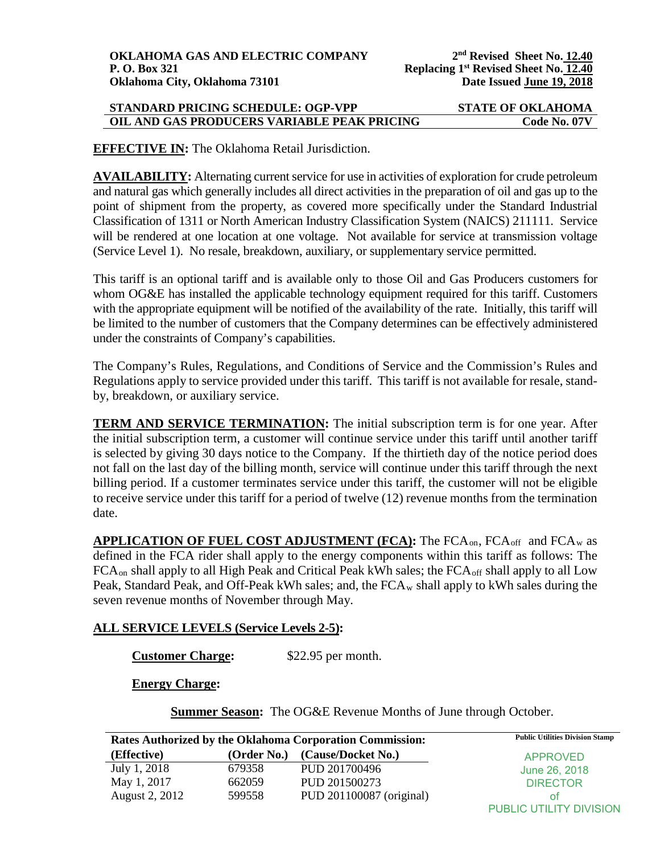### **STANDARD PRICING SCHEDULE: OGP-VPP STATE OF OKLAHOMA OIL AND GAS PRODUCERS VARIABLE PEAK PRICING Code No. 07V**

**EFFECTIVE IN:** The Oklahoma Retail Jurisdiction.

**AVAILABILITY:** Alternating current service for use in activities of exploration for crude petroleum and natural gas which generally includes all direct activities in the preparation of oil and gas up to the point of shipment from the property, as covered more specifically under the Standard Industrial Classification of 1311 or North American Industry Classification System (NAICS) 211111. Service will be rendered at one location at one voltage. Not available for service at transmission voltage (Service Level 1). No resale, breakdown, auxiliary, or supplementary service permitted.

This tariff is an optional tariff and is available only to those Oil and Gas Producers customers for whom OG&E has installed the applicable technology equipment required for this tariff. Customers with the appropriate equipment will be notified of the availability of the rate. Initially, this tariff will be limited to the number of customers that the Company determines can be effectively administered under the constraints of Company's capabilities.

The Company's Rules, Regulations, and Conditions of Service and the Commission's Rules and Regulations apply to service provided under this tariff. This tariff is not available for resale, standby, breakdown, or auxiliary service.

**TERM AND SERVICE TERMINATION:** The initial subscription term is for one year. After the initial subscription term, a customer will continue service under this tariff until another tariff is selected by giving 30 days notice to the Company. If the thirtieth day of the notice period does not fall on the last day of the billing month, service will continue under this tariff through the next billing period. If a customer terminates service under this tariff, the customer will not be eligible to receive service under this tariff for a period of twelve (12) revenue months from the termination date.

**APPLICATION OF FUEL COST ADJUSTMENT (FCA):** The FCAon, FCAoff and FCAw as defined in the FCA rider shall apply to the energy components within this tariff as follows: The  $FCA_{on}$  shall apply to all High Peak and Critical Peak kWh sales; the  $FCA_{off}$  shall apply to all Low Peak, Standard Peak, and Off-Peak kWh sales; and, the FCA<sub>w</sub> shall apply to kWh sales during the seven revenue months of November through May.

# **ALL SERVICE LEVELS (Service Levels 2-5):**

**Customer Charge:** \$22.95 per month.

**Energy Charge:**

**Summer Season:** The OG&E Revenue Months of June through October.

| Rates Authorized by the Oklahoma Corporation Commission: |             |                          | <b>Public Utilities Division Stamp</b> |
|----------------------------------------------------------|-------------|--------------------------|----------------------------------------|
| (Effective)                                              | (Order No.) | (Cause/Docket No.)       | APPROVED                               |
| July 1, 2018                                             | 679358      | PUD 201700496            | June 26, 2018                          |
| May 1, 2017                                              | 662059      | PUD 201500273            | <b>DIRECTOR</b>                        |
| August 2, 2012                                           | 599558      | PUD 201100087 (original) | ΩŤ                                     |
|                                                          |             |                          | PUBLIC UTILITY DIVISION                |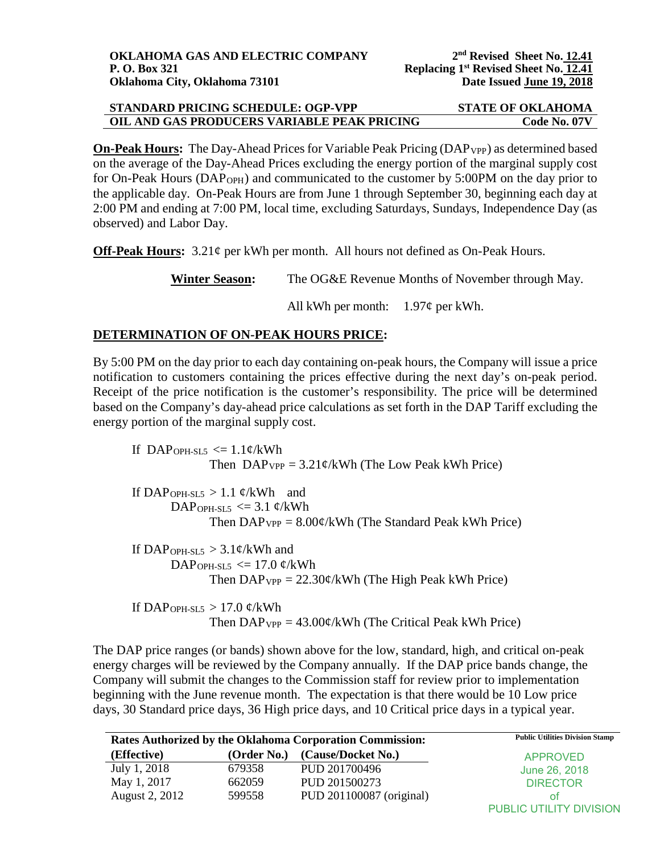| STANDARD PRICING SCHEDULE: OGP-VPP          | <b>STATE OF OKLAHOMA</b> |
|---------------------------------------------|--------------------------|
| OIL AND GAS PRODUCERS VARIABLE PEAK PRICING | Code No. 07V             |

**On-Peak Hours:** The Day-Ahead Prices for Variable Peak Pricing (DAP<sub>VPP</sub>) as determined based on the average of the Day-Ahead Prices excluding the energy portion of the marginal supply cost for On-Peak Hours (DAP<sub>OPH</sub>) and communicated to the customer by 5:00PM on the day prior to the applicable day. On-Peak Hours are from June 1 through September 30, beginning each day at 2:00 PM and ending at 7:00 PM, local time, excluding Saturdays, Sundays, Independence Day (as observed) and Labor Day.

**Off-Peak Hours:** 3.21¢ per kWh per month. All hours not defined as On-Peak Hours.

**Winter Season:** The OG&E Revenue Months of November through May.

All kWh per month:  $1.97¢$  per kWh.

## **DETERMINATION OF ON-PEAK HOURS PRICE:**

By 5:00 PM on the day prior to each day containing on-peak hours, the Company will issue a price notification to customers containing the prices effective during the next day's on-peak period. Receipt of the price notification is the customer's responsibility. The price will be determined based on the Company's day-ahead price calculations as set forth in the DAP Tariff excluding the energy portion of the marginal supply cost.

If DAP<sub>OPH-SL5</sub>  $\leq$  1.1¢/kWh Then  $DAP_{VPP} = 3.21 \frac{\epsilon}{kWh}$  (The Low Peak kWh Price) If DAP<sub>OPH-SL5</sub> > 1.1  $\varphi$ /kWh and DAP<sub>OPH-SL5</sub>  $\leq$  3.1 ¢/kWh Then  $DAP_{VPP} = 8.00 \phi/kWh$  (The Standard Peak kWh Price) If DAP<sub>OPH-SL5</sub>  $>$  3.1¢/kWh and DAP<sub>OPH-SL5</sub>  $\leq$  17.0 ¢/kWh Then  $DAP_{VP} = 22.30 \frac{\cancel{\ }KWh}$  (The High Peak kWh Price) If DAP<sub>OPH-SL5</sub>  $> 17.0$  ¢/kWh

Then  $DAP_{VPP} = 43.00 \frac{\cancel{\ }c}{kWh}$  (The Critical Peak kWh Price)

The DAP price ranges (or bands) shown above for the low, standard, high, and critical on-peak energy charges will be reviewed by the Company annually. If the DAP price bands change, the Company will submit the changes to the Commission staff for review prior to implementation beginning with the June revenue month. The expectation is that there would be 10 Low price days, 30 Standard price days, 36 High price days, and 10 Critical price days in a typical year.

| Rates Authorized by the Oklahoma Corporation Commission: |             |                          | <b>Public Utilities Division Stamp</b> |
|----------------------------------------------------------|-------------|--------------------------|----------------------------------------|
| (Effective)                                              | (Order No.) | (Cause/Docket No.)       | <b>APPROVED</b>                        |
| July 1, 2018                                             | 679358      | PUD 201700496            | June 26, 2018                          |
| May 1, 2017                                              | 662059      | PUD 201500273            | <b>DIRECTOR</b>                        |
| August 2, 2012                                           | 599558      | PUD 201100087 (original) | ΟŤ                                     |
|                                                          |             |                          | PUBLIC UTILITY DIVISION                |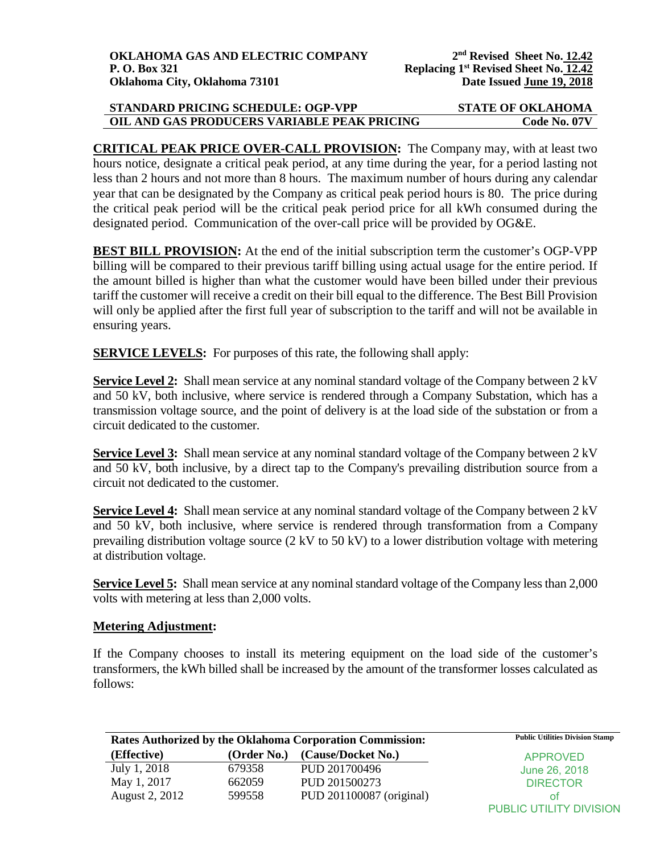| STANDARD PRICING SCHEDULE: OGP-VPP          | <b>STATE OF OKLAHOMA</b> |
|---------------------------------------------|--------------------------|
| OIL AND GAS PRODUCERS VARIABLE PEAK PRICING | Code No. 07V             |

**CRITICAL PEAK PRICE OVER-CALL PROVISION:** The Company may, with at least two hours notice, designate a critical peak period, at any time during the year, for a period lasting not less than 2 hours and not more than 8 hours. The maximum number of hours during any calendar year that can be designated by the Company as critical peak period hours is 80. The price during the critical peak period will be the critical peak period price for all kWh consumed during the designated period. Communication of the over-call price will be provided by OG&E.

**BEST BILL PROVISION:** At the end of the initial subscription term the customer's OGP-VPP billing will be compared to their previous tariff billing using actual usage for the entire period. If the amount billed is higher than what the customer would have been billed under their previous tariff the customer will receive a credit on their bill equal to the difference. The Best Bill Provision will only be applied after the first full year of subscription to the tariff and will not be available in ensuring years.

**SERVICE LEVELS:** For purposes of this rate, the following shall apply:

**Service Level 2:** Shall mean service at any nominal standard voltage of the Company between 2 kV and 50 kV, both inclusive, where service is rendered through a Company Substation, which has a transmission voltage source, and the point of delivery is at the load side of the substation or from a circuit dedicated to the customer.

**Service Level 3:** Shall mean service at any nominal standard voltage of the Company between 2 kV and 50 kV, both inclusive, by a direct tap to the Company's prevailing distribution source from a circuit not dedicated to the customer.

**Service Level 4:** Shall mean service at any nominal standard voltage of the Company between 2 kV and 50 kV, both inclusive, where service is rendered through transformation from a Company prevailing distribution voltage source (2 kV to 50 kV) to a lower distribution voltage with metering at distribution voltage.

**Service Level 5:** Shall mean service at any nominal standard voltage of the Company less than 2,000 volts with metering at less than 2,000 volts.

### **Metering Adjustment:**

If the Company chooses to install its metering equipment on the load side of the customer's transformers, the kWh billed shall be increased by the amount of the transformer losses calculated as follows:

| <b>Rates Authorized by the Oklahoma Corporation Commission:</b> |             |                          | <b>Public Utilities Division Stamp</b> |
|-----------------------------------------------------------------|-------------|--------------------------|----------------------------------------|
| (Effective)                                                     | (Order No.) | (Cause/Docket No.)       | <b>APPROVED</b>                        |
| July 1, 2018                                                    | 679358      | PUD 201700496            | June 26, 2018                          |
| May 1, 2017                                                     | 662059      | PUD 201500273            | <b>DIRECTOR</b>                        |
| August 2, 2012                                                  | 599558      | PUD 201100087 (original) | Οt                                     |
|                                                                 |             |                          | PUBLIC UTILITY DIVISION                |